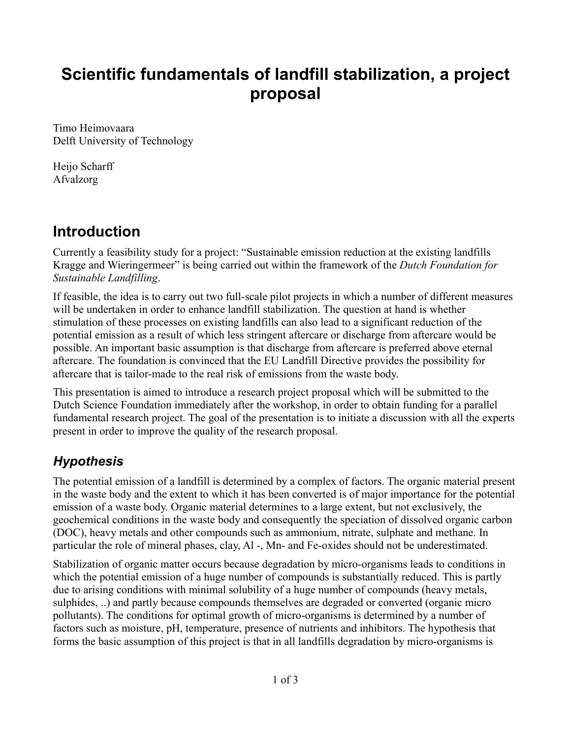# **Scientific fundamentals of landfill stabilization, a project proposal**

Timo Heimovaara Delft University of Technology

Heijo Scharff Afvalzorg

## **Introduction**

Currently a feasibility study for a project: "Sustainable emission reduction at the existing landfills Kragge and Wieringermeer" is being carried out within the framework of the *Dutch Foundation for Sustainable Landfilling*.

If feasible, the idea is to carry out two full-scale pilot projects in which a number of different measures will be undertaken in order to enhance landfill stabilization. The question at hand is whether stimulation of these processes on existing landfills can also lead to a significant reduction of the potential emission as a result of which less stringent aftercare or discharge from aftercare would be possible. An important basic assumption is that discharge from aftercare is preferred above eternal aftercare. The foundation is convinced that the EU Landfill Directive provides the possibility for aftercare that is tailor-made to the real risk of emissions from the waste body.

This presentation is aimed to introduce a research project proposal which will be submitted to the Dutch Science Foundation immediately after the workshop, in order to obtain funding for a parallel fundamental research project. The goal of the presentation is to initiate a discussion with all the experts present in order to improve the quality of the research proposal.

## *Hypothesis*

The potential emission of a landfill is determined by a complex of factors. The organic material present in the waste body and the extent to which it has been converted is of major importance for the potential emission of a waste body. Organic material determines to a large extent, but not exclusively, the geochemical conditions in the waste body and consequently the speciation of dissolved organic carbon (DOC), heavy metals and other compounds such as ammonium, nitrate, sulphate and methane. In particular the role of mineral phases, clay, Al -, Mn- and Fe-oxides should not be underestimated.

Stabilization of organic matter occurs because degradation by micro-organisms leads to conditions in which the potential emission of a huge number of compounds is substantially reduced. This is partly due to arising conditions with minimal solubility of a huge number of compounds (heavy metals, sulphides, ..) and partly because compounds themselves are degraded or converted (organic micro pollutants). The conditions for optimal growth of micro-organisms is determined by a number of factors such as moisture, pH, temperature, presence of nutrients and inhibitors. The hypothesis that forms the basic assumption of this project is that in all landfills degradation by micro-organisms is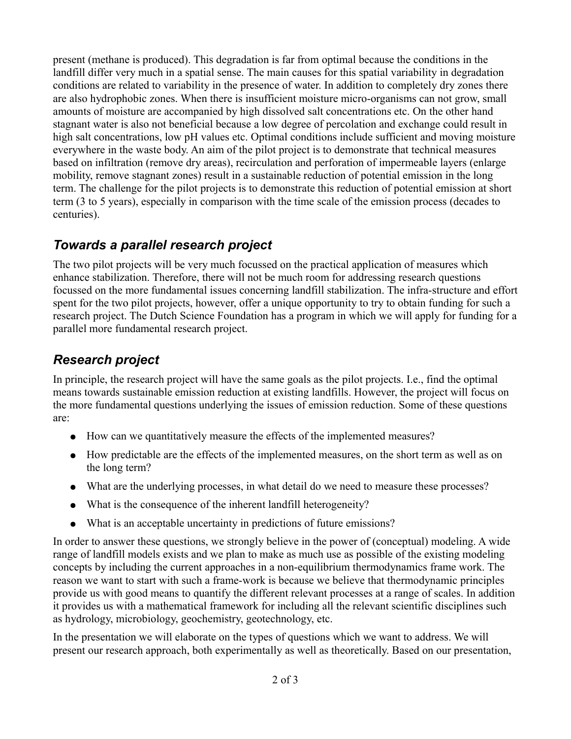present (methane is produced). This degradation is far from optimal because the conditions in the landfill differ very much in a spatial sense. The main causes for this spatial variability in degradation conditions are related to variability in the presence of water. In addition to completely dry zones there are also hydrophobic zones. When there is insufficient moisture micro-organisms can not grow, small amounts of moisture are accompanied by high dissolved salt concentrations etc. On the other hand stagnant water is also not beneficial because a low degree of percolation and exchange could result in high salt concentrations, low pH values etc. Optimal conditions include sufficient and moving moisture everywhere in the waste body. An aim of the pilot project is to demonstrate that technical measures based on infiltration (remove dry areas), recirculation and perforation of impermeable layers (enlarge mobility, remove stagnant zones) result in a sustainable reduction of potential emission in the long term. The challenge for the pilot projects is to demonstrate this reduction of potential emission at short term (3 to 5 years), especially in comparison with the time scale of the emission process (decades to centuries).

### *Towards a parallel research project*

The two pilot projects will be very much focussed on the practical application of measures which enhance stabilization. Therefore, there will not be much room for addressing research questions focussed on the more fundamental issues concerning landfill stabilization. The infra-structure and effort spent for the two pilot projects, however, offer a unique opportunity to try to obtain funding for such a research project. The Dutch Science Foundation has a program in which we will apply for funding for a parallel more fundamental research project.

#### *Research project*

In principle, the research project will have the same goals as the pilot projects. I.e., find the optimal means towards sustainable emission reduction at existing landfills. However, the project will focus on the more fundamental questions underlying the issues of emission reduction. Some of these questions are:

- How can we quantitatively measure the effects of the implemented measures?
- How predictable are the effects of the implemented measures, on the short term as well as on the long term?
- What are the underlying processes, in what detail do we need to measure these processes?
- What is the consequence of the inherent landfill heterogeneity?
- What is an acceptable uncertainty in predictions of future emissions?

In order to answer these questions, we strongly believe in the power of (conceptual) modeling. A wide range of landfill models exists and we plan to make as much use as possible of the existing modeling concepts by including the current approaches in a non-equilibrium thermodynamics frame work. The reason we want to start with such a frame-work is because we believe that thermodynamic principles provide us with good means to quantify the different relevant processes at a range of scales. In addition it provides us with a mathematical framework for including all the relevant scientific disciplines such as hydrology, microbiology, geochemistry, geotechnology, etc.

In the presentation we will elaborate on the types of questions which we want to address. We will present our research approach, both experimentally as well as theoretically. Based on our presentation,